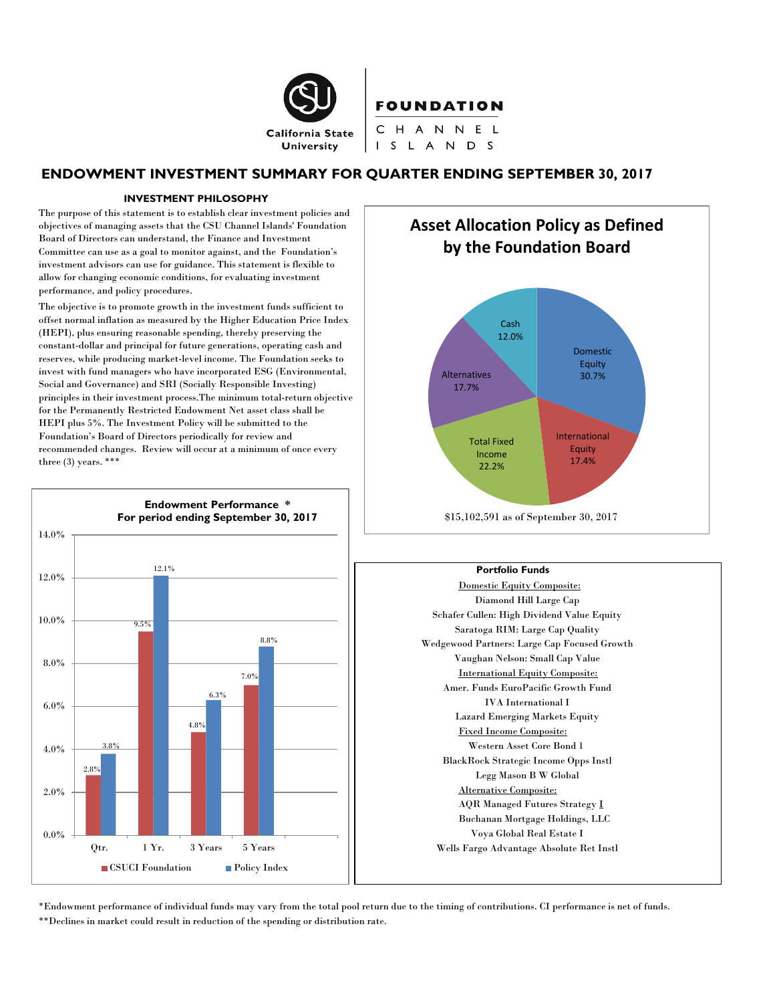

# FOUNDATION

CHANNEL I S L A N D S

# **ENDOWMENT INVESTMENT SUMMARY FOR QUARTER ENDING SEPTEMBER 30, 2017**

#### **INVESTMENT PHILOSOPHY**

The purpose of this statement is to establish clear investment policies and objectives of managing assets that the CSU Channel Islands' Foundation Board of Directors can understand, the Finance and Investment Committee can use as a goal to monitor against, and the Foundation's investment advisors can use for guidance. This statement is flexible to allow for changing economic conditions, for evaluating investment performance, and policy procedures.

The objective is to promote growth in the investment funds sufficient to offset normal inflation as measured by the Higher Education Price Index (HEPI), plus ensuring reasonable spending, thereby preserving the constant-dollar and principal for future generations, operating cash and reserves, while producing market-level income. The Foundation seeks to invest with fund managers who have incorporated ESG (Environmental, Social and Governance) and SRI (Socially Responsible Investing) principles in their investment process.The minimum total-return objective for the Permanently Restricted Endowment Net asset class shall be HEPI plus 5%. The Investment Policy will be submitted to the Foundation's Board of Directors periodically for review and recommended changes. Review will occur at a minimum of once every three  $(3)$  years. \*\*\*



**Asset Allocation Policy as Defined by the Foundation Board**



#### **Portfolio Funds**

Domestic Equity Composite: Diamond Hill Large Cap Schafer Cullen: High Dividend Value Equity Saratoga RIM: Large Cap Quality Wedgewood Partners: Large Cap Focused Growth Vaughan Nelson: Small Cap Value International Equity Composite: Amer. Funds EuroPacific Growth Fund IVA International I Lazard Emerging Markets Equity Fixed Income Composite: Western Asset Core Bond 1 BlackRock Strategic Income Opps Instl Legg Mason B W Global Alternative Composite: AQR Managed Futures Strategy I Buchanan Mortgage Holdings, LLC Voya Global Real Estate I Wells Fargo Advantage Absolute Ret Instl

\*Endowment performance of individual funds may vary from the total pool return due to the timing of contributions. CI performance is net of funds. \*\*Declines in market could result in reduction of the spending or distribution rate.